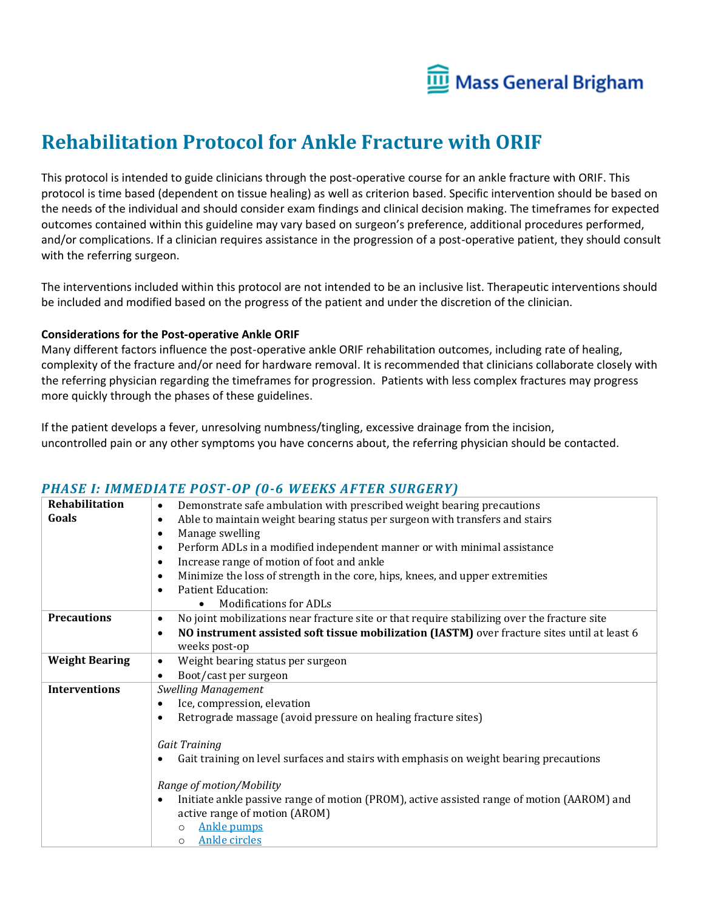

# **Rehabilitation Protocol for Ankle Fracture with ORIF**

This protocol is intended to guide clinicians through the post-operative course for an ankle fracture with ORIF. This protocol is time based (dependent on tissue healing) as well as criterion based. Specific intervention should be based on the needs of the individual and should consider exam findings and clinical decision making. The timeframes for expected outcomes contained within this guideline may vary based on surgeon's preference, additional procedures performed, and/or complications. If a clinician requires assistance in the progression of a post-operative patient, they should consult with the referring surgeon.

The interventions included within this protocol are not intended to be an inclusive list. Therapeutic interventions should be included and modified based on the progress of the patient and under the discretion of the clinician.

#### **Considerations for the Post-operative Ankle ORIF**

Many different factors influence the post-operative ankle ORIF rehabilitation outcomes, including rate of healing, complexity of the fracture and/or need for hardware removal. It is recommended that clinicians collaborate closely with the referring physician regarding the timeframes for progression. Patients with less complex fractures may progress more quickly through the phases of these guidelines.

If the patient develops a fever, unresolving numbness/tingling, excessive drainage from the incision, uncontrolled pain or any other symptoms you have concerns about, the referring physician should be contacted.

| Rehabilitation        | Demonstrate safe ambulation with prescribed weight bearing precautions<br>$\bullet$                       |  |  |  |  |  |  |  |  |  |  |
|-----------------------|-----------------------------------------------------------------------------------------------------------|--|--|--|--|--|--|--|--|--|--|
| Goals                 | Able to maintain weight bearing status per surgeon with transfers and stairs<br>$\bullet$                 |  |  |  |  |  |  |  |  |  |  |
|                       | Manage swelling<br>٠                                                                                      |  |  |  |  |  |  |  |  |  |  |
|                       | Perform ADLs in a modified independent manner or with minimal assistance<br>$\bullet$                     |  |  |  |  |  |  |  |  |  |  |
|                       | Increase range of motion of foot and ankle<br>$\bullet$                                                   |  |  |  |  |  |  |  |  |  |  |
|                       | Minimize the loss of strength in the core, hips, knees, and upper extremities<br>$\bullet$                |  |  |  |  |  |  |  |  |  |  |
|                       | <b>Patient Education:</b><br>$\bullet$                                                                    |  |  |  |  |  |  |  |  |  |  |
|                       | <b>Modifications for ADLs</b><br>$\bullet$                                                                |  |  |  |  |  |  |  |  |  |  |
| <b>Precautions</b>    | No joint mobilizations near fracture site or that require stabilizing over the fracture site<br>$\bullet$ |  |  |  |  |  |  |  |  |  |  |
|                       | NO instrument assisted soft tissue mobilization (IASTM) over fracture sites until at least 6<br>$\bullet$ |  |  |  |  |  |  |  |  |  |  |
|                       | weeks post-op                                                                                             |  |  |  |  |  |  |  |  |  |  |
| <b>Weight Bearing</b> | Weight bearing status per surgeon<br>$\bullet$                                                            |  |  |  |  |  |  |  |  |  |  |
|                       | Boot/cast per surgeon<br>$\bullet$                                                                        |  |  |  |  |  |  |  |  |  |  |
| <b>Interventions</b>  | <b>Swelling Management</b>                                                                                |  |  |  |  |  |  |  |  |  |  |
|                       | Ice, compression, elevation<br>$\bullet$                                                                  |  |  |  |  |  |  |  |  |  |  |
|                       | Retrograde massage (avoid pressure on healing fracture sites)<br>$\bullet$                                |  |  |  |  |  |  |  |  |  |  |
|                       |                                                                                                           |  |  |  |  |  |  |  |  |  |  |
|                       | Gait Training                                                                                             |  |  |  |  |  |  |  |  |  |  |
|                       | Gait training on level surfaces and stairs with emphasis on weight bearing precautions                    |  |  |  |  |  |  |  |  |  |  |
|                       | Range of motion/Mobility                                                                                  |  |  |  |  |  |  |  |  |  |  |
|                       | Initiate ankle passive range of motion (PROM), active assisted range of motion (AAROM) and<br>$\bullet$   |  |  |  |  |  |  |  |  |  |  |
|                       | active range of motion (AROM)                                                                             |  |  |  |  |  |  |  |  |  |  |
|                       | <b>Ankle pumps</b><br>$\circ$                                                                             |  |  |  |  |  |  |  |  |  |  |
|                       | <b>Ankle circles</b><br>$\circ$                                                                           |  |  |  |  |  |  |  |  |  |  |

#### *PHASE I: IMMEDIATE POST-OP (0-6 WEEKS AFTER SURGERY)*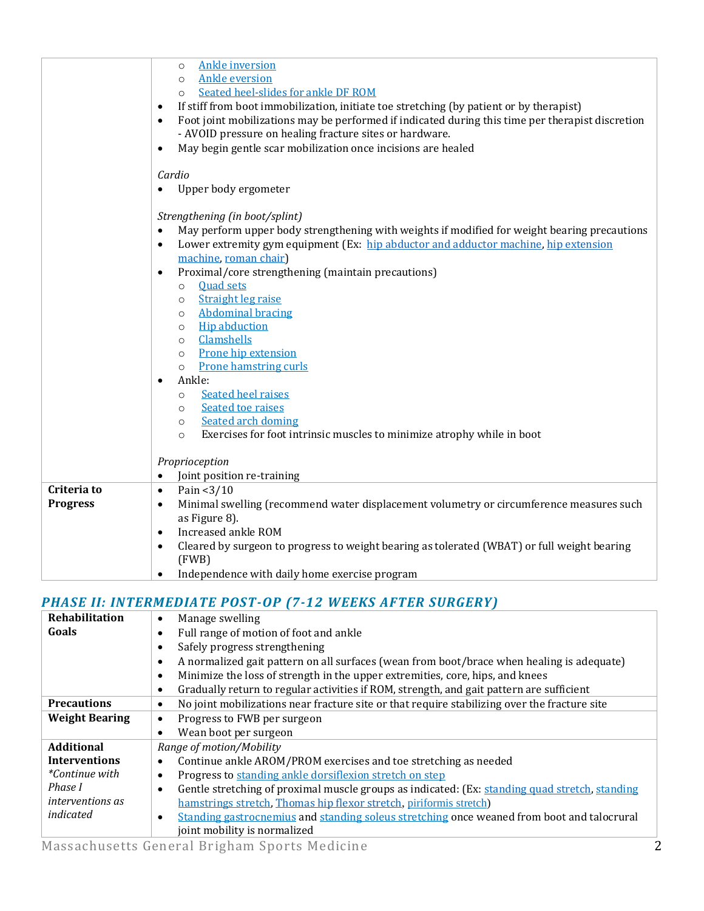|                 | <b>Ankle inversion</b><br>$\circ$<br><b>Ankle eversion</b><br>$\circ$<br>Seated heel-slides for ankle DF ROM<br>$\circ$<br>If stiff from boot immobilization, initiate toe stretching (by patient or by therapist)<br>$\bullet$<br>Foot joint mobilizations may be performed if indicated during this time per therapist discretion<br>$\bullet$<br>- AVOID pressure on healing fracture sites or hardware.<br>May begin gentle scar mobilization once incisions are healed<br>$\bullet$                                                                                                                                                                                                                                                                            |  |  |  |  |  |
|-----------------|---------------------------------------------------------------------------------------------------------------------------------------------------------------------------------------------------------------------------------------------------------------------------------------------------------------------------------------------------------------------------------------------------------------------------------------------------------------------------------------------------------------------------------------------------------------------------------------------------------------------------------------------------------------------------------------------------------------------------------------------------------------------|--|--|--|--|--|
|                 | Cardio<br>Upper body ergometer                                                                                                                                                                                                                                                                                                                                                                                                                                                                                                                                                                                                                                                                                                                                      |  |  |  |  |  |
|                 | Strengthening (in boot/splint)<br>May perform upper body strengthening with weights if modified for weight bearing precautions<br>Lower extremity gym equipment (Ex: hip abductor and adductor machine, hip extension<br>machine, roman chair)<br>Proximal/core strengthening (maintain precautions)<br><b>Quad sets</b><br>$\circ$<br><b>Straight leg raise</b><br>$\circ$<br><b>Abdominal bracing</b><br>$\circ$<br><b>Hip abduction</b><br>$\circ$<br>Clamshells<br>$\circ$<br>Prone hip extension<br>$\circ$<br><b>Prone hamstring curls</b><br>$\circ$<br>Ankle:<br><b>Seated heel raises</b><br>$\circ$<br>Seated toe raises<br>$\circ$<br>Seated arch doming<br>$\circ$<br>Exercises for foot intrinsic muscles to minimize atrophy while in boot<br>$\circ$ |  |  |  |  |  |
|                 | Proprioception<br>Joint position re-training<br>$\bullet$                                                                                                                                                                                                                                                                                                                                                                                                                                                                                                                                                                                                                                                                                                           |  |  |  |  |  |
| Criteria to     | Pain <3/10<br>$\bullet$                                                                                                                                                                                                                                                                                                                                                                                                                                                                                                                                                                                                                                                                                                                                             |  |  |  |  |  |
| <b>Progress</b> | Minimal swelling (recommend water displacement volumetry or circumference measures such<br>$\bullet$<br>as Figure 8).<br>Increased ankle ROM<br>$\bullet$<br>Cleared by surgeon to progress to weight bearing as tolerated (WBAT) or full weight bearing<br>$\bullet$                                                                                                                                                                                                                                                                                                                                                                                                                                                                                               |  |  |  |  |  |
|                 | (FWB)<br>Independence with daily home exercise program<br>$\bullet$                                                                                                                                                                                                                                                                                                                                                                                                                                                                                                                                                                                                                                                                                                 |  |  |  |  |  |

## *PHASE II: INTERMEDIATE POST-OP (7-12 WEEKS AFTER SURGERY)*

| Rehabilitation          | Manage swelling<br>$\bullet$                                                                                |  |  |  |  |  |  |  |
|-------------------------|-------------------------------------------------------------------------------------------------------------|--|--|--|--|--|--|--|
| Goals                   | Full range of motion of foot and ankle<br>$\bullet$                                                         |  |  |  |  |  |  |  |
|                         | Safely progress strengthening<br>$\bullet$                                                                  |  |  |  |  |  |  |  |
|                         | A normalized gait pattern on all surfaces (wean from boot/brace when healing is adequate)<br>$\bullet$      |  |  |  |  |  |  |  |
|                         | Minimize the loss of strength in the upper extremities, core, hips, and knees<br>$\bullet$                  |  |  |  |  |  |  |  |
|                         | Gradually return to regular activities if ROM, strength, and gait pattern are sufficient<br>$\bullet$       |  |  |  |  |  |  |  |
| <b>Precautions</b>      | No joint mobilizations near fracture site or that require stabilizing over the fracture site<br>$\bullet$   |  |  |  |  |  |  |  |
| <b>Weight Bearing</b>   | Progress to FWB per surgeon<br>$\bullet$                                                                    |  |  |  |  |  |  |  |
|                         | Wean boot per surgeon<br>$\bullet$                                                                          |  |  |  |  |  |  |  |
| <b>Additional</b>       | Range of motion/Mobility                                                                                    |  |  |  |  |  |  |  |
| <b>Interventions</b>    | Continue ankle AROM/PROM exercises and toe stretching as needed<br>$\bullet$                                |  |  |  |  |  |  |  |
| <i>*Continue with</i>   | Progress to standing ankle dorsiflexion stretch on step<br>$\bullet$                                        |  |  |  |  |  |  |  |
| Phase I                 | Gentle stretching of proximal muscle groups as indicated: (Ex: standing quad stretch, standing<br>$\bullet$ |  |  |  |  |  |  |  |
| <i>interventions as</i> | hamstrings stretch, Thomas hip flexor stretch, piriformis stretch)                                          |  |  |  |  |  |  |  |
| indicated               | Standing gastrocnemius and standing soleus stretching once weaned from boot and talocrural<br>$\bullet$     |  |  |  |  |  |  |  |
|                         | joint mobility is normalized                                                                                |  |  |  |  |  |  |  |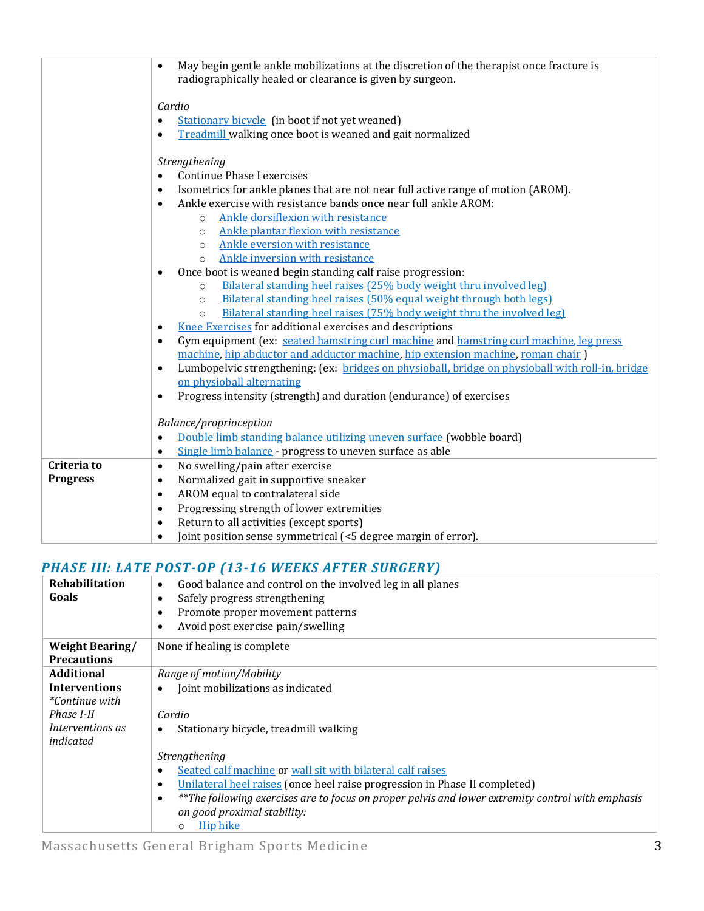| May begin gentle ankle mobilizations at the discretion of the therapist once fracture is                                                   |  |  |  |  |  |  |  |
|--------------------------------------------------------------------------------------------------------------------------------------------|--|--|--|--|--|--|--|
|                                                                                                                                            |  |  |  |  |  |  |  |
|                                                                                                                                            |  |  |  |  |  |  |  |
|                                                                                                                                            |  |  |  |  |  |  |  |
|                                                                                                                                            |  |  |  |  |  |  |  |
| Treadmill walking once boot is weaned and gait normalized                                                                                  |  |  |  |  |  |  |  |
| Strengthening                                                                                                                              |  |  |  |  |  |  |  |
|                                                                                                                                            |  |  |  |  |  |  |  |
| Isometrics for ankle planes that are not near full active range of motion (AROM).                                                          |  |  |  |  |  |  |  |
|                                                                                                                                            |  |  |  |  |  |  |  |
|                                                                                                                                            |  |  |  |  |  |  |  |
|                                                                                                                                            |  |  |  |  |  |  |  |
|                                                                                                                                            |  |  |  |  |  |  |  |
|                                                                                                                                            |  |  |  |  |  |  |  |
| Ankle inversion with resistance<br>Once boot is weaned begin standing calf raise progression:<br>$\bullet$                                 |  |  |  |  |  |  |  |
| Bilateral standing heel raises (25% body weight thru involved leg)<br>$\circ$                                                              |  |  |  |  |  |  |  |
| Bilateral standing heel raises (50% equal weight through both legs)<br>$\circ$                                                             |  |  |  |  |  |  |  |
| Bilateral standing heel raises (75% body weight thru the involved leg)<br>$\circ$                                                          |  |  |  |  |  |  |  |
| <b>Knee Exercises for additional exercises and descriptions</b><br>$\bullet$                                                               |  |  |  |  |  |  |  |
| Gym equipment (ex: seated hamstring curl machine and hamstring curl machine, leg press<br>$\bullet$                                        |  |  |  |  |  |  |  |
| machine, hip abductor and adductor machine, hip extension machine, roman chair)                                                            |  |  |  |  |  |  |  |
| Lumbopelvic strengthening: (ex: bridges on physioball, bridge on physioball with roll-in, bridge<br>$\bullet$<br>on physioball alternating |  |  |  |  |  |  |  |
|                                                                                                                                            |  |  |  |  |  |  |  |
| Progress intensity (strength) and duration (endurance) of exercises<br>$\bullet$                                                           |  |  |  |  |  |  |  |
| Balance/proprioception                                                                                                                     |  |  |  |  |  |  |  |
| Double limb standing balance utilizing uneven surface (wobble board)                                                                       |  |  |  |  |  |  |  |
|                                                                                                                                            |  |  |  |  |  |  |  |
|                                                                                                                                            |  |  |  |  |  |  |  |
|                                                                                                                                            |  |  |  |  |  |  |  |
|                                                                                                                                            |  |  |  |  |  |  |  |
|                                                                                                                                            |  |  |  |  |  |  |  |
|                                                                                                                                            |  |  |  |  |  |  |  |
|                                                                                                                                            |  |  |  |  |  |  |  |
|                                                                                                                                            |  |  |  |  |  |  |  |

## *PHASE III: LATE POST-OP (13-16 WEEKS AFTER SURGERY)*

| <b>Rehabilitation</b><br>Goals               | Good balance and control on the involved leg in all planes<br>$\bullet$<br>Safely progress strengthening<br>$\bullet$<br>Promote proper movement patterns<br>$\bullet$<br>Avoid post exercise pain/swelling<br>$\bullet$ |
|----------------------------------------------|--------------------------------------------------------------------------------------------------------------------------------------------------------------------------------------------------------------------------|
| <b>Weight Bearing/</b><br><b>Precautions</b> | None if healing is complete                                                                                                                                                                                              |
| Additional                                   | Range of motion/Mobility                                                                                                                                                                                                 |
| <b>Interventions</b>                         | Joint mobilizations as indicated<br>$\bullet$                                                                                                                                                                            |
| <i>*Continue with</i>                        |                                                                                                                                                                                                                          |
| Phase I-II                                   | Cardio                                                                                                                                                                                                                   |
| Interventions as<br>indicated                | Stationary bicycle, treadmill walking<br>$\bullet$                                                                                                                                                                       |
|                                              | Strengthening                                                                                                                                                                                                            |
|                                              | Seated calf machine or wall sit with bilateral calf raises<br>$\bullet$                                                                                                                                                  |
|                                              | Unilateral heel raises (once heel raise progression in Phase II completed)<br>$\bullet$                                                                                                                                  |
|                                              | **The following exercises are to focus on proper pelvis and lower extremity control with emphasis<br>$\bullet$                                                                                                           |
|                                              | on good proximal stability:                                                                                                                                                                                              |
|                                              | Hip hike<br>$\circ$                                                                                                                                                                                                      |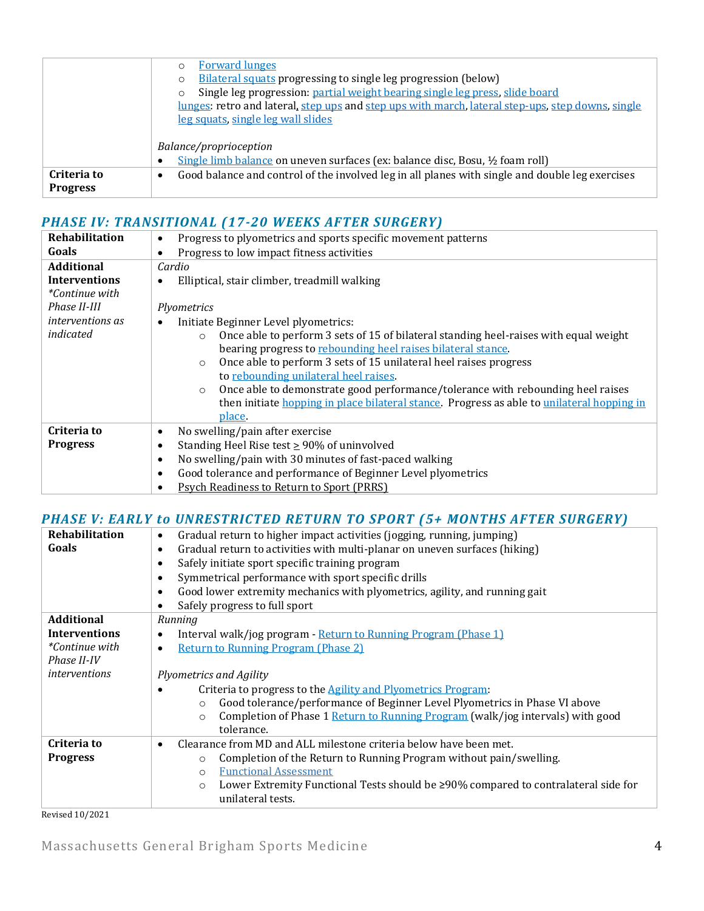|                 | <b>Forward lunges</b>                                                                                        |  |  |  |  |  |
|-----------------|--------------------------------------------------------------------------------------------------------------|--|--|--|--|--|
|                 | Bilateral squats progressing to single leg progression (below)<br>O                                          |  |  |  |  |  |
|                 | Single leg progression: partial weight bearing single leg press, slide board<br>O                            |  |  |  |  |  |
|                 | lunges: retro and lateral, step ups and step ups with march, lateral step-ups, step downs, single            |  |  |  |  |  |
|                 | leg squats, single leg wall slides                                                                           |  |  |  |  |  |
|                 |                                                                                                              |  |  |  |  |  |
|                 | Balance/proprioception                                                                                       |  |  |  |  |  |
|                 | Single limb balance on uneven surfaces (ex: balance disc, Bosu, 1/2 foam roll)<br>٠                          |  |  |  |  |  |
| Criteria to     | Good balance and control of the involved leg in all planes with single and double leg exercises<br>$\bullet$ |  |  |  |  |  |
| <b>Progress</b> |                                                                                                              |  |  |  |  |  |

## *PHASE IV: TRANSITIONAL (17-20 WEEKS AFTER SURGERY)*

| Rehabilitation          | Progress to plyometrics and sports specific movement patterns<br>$\bullet$                       |  |  |  |  |  |  |
|-------------------------|--------------------------------------------------------------------------------------------------|--|--|--|--|--|--|
| Goals                   | Progress to low impact fitness activities<br>$\bullet$                                           |  |  |  |  |  |  |
| <b>Additional</b>       | Cardio                                                                                           |  |  |  |  |  |  |
| <b>Interventions</b>    | Elliptical, stair climber, treadmill walking<br>$\bullet$                                        |  |  |  |  |  |  |
| <i>*Continue with</i>   |                                                                                                  |  |  |  |  |  |  |
| Phase II-III            | Plyometrics                                                                                      |  |  |  |  |  |  |
| <i>interventions as</i> | Initiate Beginner Level plyometrics:<br>$\bullet$                                                |  |  |  |  |  |  |
| indicated               | Once able to perform 3 sets of 15 of bilateral standing heel-raises with equal weight<br>$\circ$ |  |  |  |  |  |  |
|                         | bearing progress to rebounding heel raises bilateral stance.                                     |  |  |  |  |  |  |
|                         | Once able to perform 3 sets of 15 unilateral heel raises progress<br>$\circ$                     |  |  |  |  |  |  |
|                         | to rebounding unilateral heel raises.                                                            |  |  |  |  |  |  |
|                         | Once able to demonstrate good performance/tolerance with rebounding heel raises<br>$\circ$       |  |  |  |  |  |  |
|                         | then initiate hopping in place bilateral stance. Progress as able to unilateral hopping in       |  |  |  |  |  |  |
|                         | place.                                                                                           |  |  |  |  |  |  |
| Criteria to             | No swelling/pain after exercise<br>$\bullet$                                                     |  |  |  |  |  |  |
| <b>Progress</b>         | Standing Heel Rise test $\geq$ 90% of uninvolved<br>$\bullet$                                    |  |  |  |  |  |  |
|                         | No swelling/pain with 30 minutes of fast-paced walking<br>$\bullet$                              |  |  |  |  |  |  |
|                         | Good tolerance and performance of Beginner Level plyometrics<br>$\bullet$                        |  |  |  |  |  |  |
|                         | <b>Psych Readiness to Return to Sport (PRRS)</b><br>٠                                            |  |  |  |  |  |  |

### *PHASE V: EARLY to UNRESTRICTED RETURN TO SPORT (5+ MONTHS AFTER SURGERY)*

| Rehabilitation        | Gradual return to higher impact activities (jogging, running, jumping)<br>$\bullet$           |  |  |  |  |  |  |  |
|-----------------------|-----------------------------------------------------------------------------------------------|--|--|--|--|--|--|--|
| Goals                 | Gradual return to activities with multi-planar on uneven surfaces (hiking)<br>$\bullet$       |  |  |  |  |  |  |  |
|                       | Safely initiate sport specific training program<br>$\bullet$                                  |  |  |  |  |  |  |  |
|                       | Symmetrical performance with sport specific drills<br>$\bullet$                               |  |  |  |  |  |  |  |
|                       | Good lower extremity mechanics with plyometrics, agility, and running gait<br>$\bullet$       |  |  |  |  |  |  |  |
|                       | Safely progress to full sport<br>$\bullet$                                                    |  |  |  |  |  |  |  |
| <b>Additional</b>     | Running                                                                                       |  |  |  |  |  |  |  |
| <b>Interventions</b>  | Interval walk/jog program - Return to Running Program (Phase 1)<br>$\bullet$                  |  |  |  |  |  |  |  |
| <i>*Continue with</i> | <b>Return to Running Program (Phase 2)</b><br>$\bullet$                                       |  |  |  |  |  |  |  |
| Phase II-IV           |                                                                                               |  |  |  |  |  |  |  |
| <i>interventions</i>  | Plyometrics and Agility                                                                       |  |  |  |  |  |  |  |
|                       | Criteria to progress to the <b>Agility</b> and Plyometrics Program:                           |  |  |  |  |  |  |  |
|                       | Good tolerance/performance of Beginner Level Plyometrics in Phase VI above<br>$\circ$         |  |  |  |  |  |  |  |
|                       | Completion of Phase 1 Return to Running Program (walk/jog intervals) with good<br>$\Omega$    |  |  |  |  |  |  |  |
|                       | tolerance.                                                                                    |  |  |  |  |  |  |  |
| Criteria to           | Clearance from MD and ALL milestone criteria below have been met.<br>$\bullet$                |  |  |  |  |  |  |  |
| <b>Progress</b>       | Completion of the Return to Running Program without pain/swelling.<br>$\circ$                 |  |  |  |  |  |  |  |
|                       | <b>Functional Assessment</b><br>$\Omega$                                                      |  |  |  |  |  |  |  |
|                       | Lower Extremity Functional Tests should be ≥90% compared to contralateral side for<br>$\circ$ |  |  |  |  |  |  |  |
|                       | unilateral tests.                                                                             |  |  |  |  |  |  |  |
| Revised 10/2021       |                                                                                               |  |  |  |  |  |  |  |

Massachusetts General Brigham Sports Medicine 4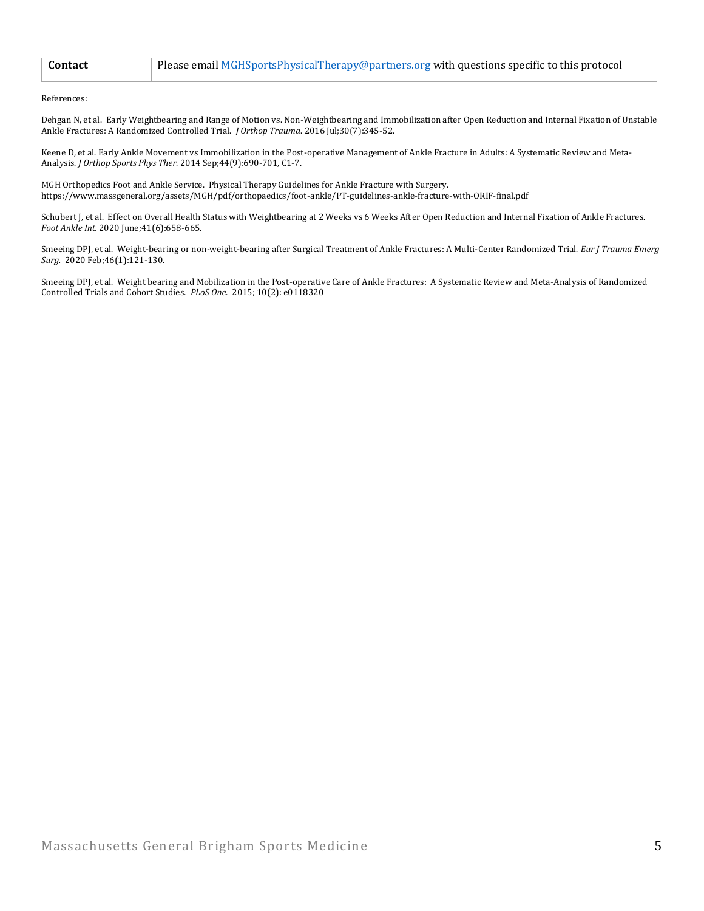| <b>Contact</b> | Please email MGHSportsPhysicalTherapy@partners.org with questions specific to this protocol |
|----------------|---------------------------------------------------------------------------------------------|
|                |                                                                                             |

References:

Dehgan N, et al. Early Weightbearing and Range of Motion vs. Non-Weightbearing and Immobilization after Open Reduction and Internal Fixation of Unstable Ankle Fractures: A Randomized Controlled Trial. *J Orthop Trauma*. 2016 Jul;30(7):345-52.

Keene D, et al. Early Ankle Movement vs Immobilization in the Post-operative Management of Ankle Fracture in Adults: A Systematic Review and Meta-Analysis. *J Orthop Sports Phys Ther.* 2014 Sep;44(9):690-701, C1-7.

MGH Orthopedics Foot and Ankle Service. Physical Therapy Guidelines for Ankle Fracture with Surgery. https://www.massgeneral.org/assets/MGH/pdf/orthopaedics/foot-ankle/PT-guidelines-ankle-fracture-with-ORIF-final.pdf

Schubert J, et al. Effect on Overall Health Status with Weightbearing at 2 Weeks vs 6 Weeks After Open Reduction and Internal Fixation of Ankle Fractures. *Foot Ankle Int.* 2020 June;41(6):658-665.

Smeeing DPJ, et al. Weight-bearing or non-weight-bearing after Surgical Treatment of Ankle Fractures: A Multi-Center Randomized Trial. *Eur J Trauma Emerg Surg.* 2020 Feb;46(1):121-130.

Smeeing DPJ, et al. Weight bearing and Mobilization in the Post-operative Care of Ankle Fractures: A Systematic Review and Meta-Analysis of Randomized Controlled Trials and Cohort Studies. *PLoS One*. 2015; 10(2): e0118320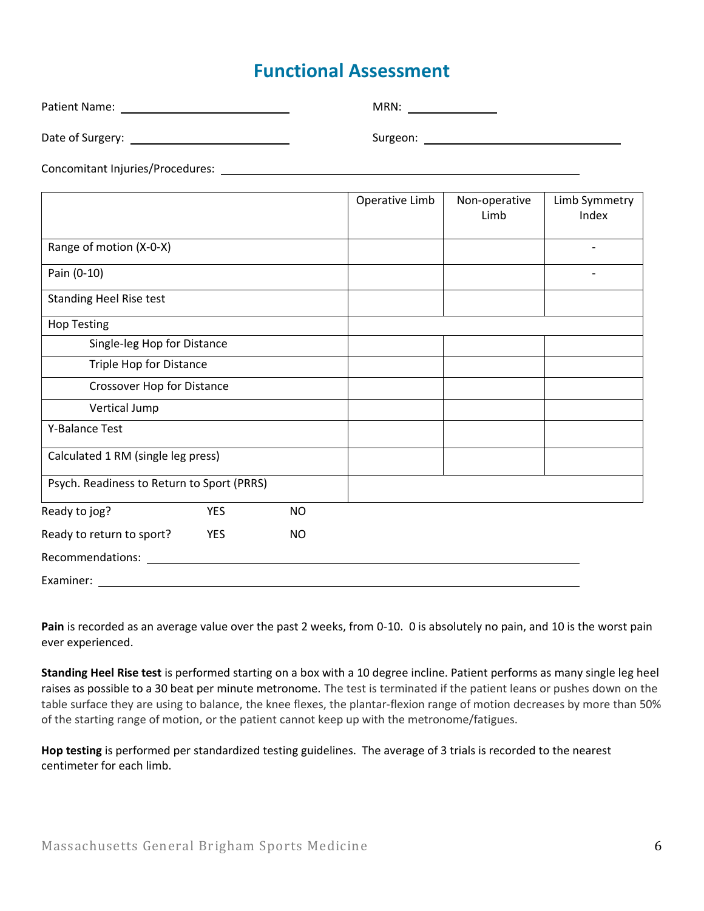## **Functional Assessment**

|                                            | MRN: ________________ |                       |                        |  |  |
|--------------------------------------------|-----------------------|-----------------------|------------------------|--|--|
|                                            |                       |                       |                        |  |  |
|                                            |                       |                       |                        |  |  |
|                                            | Operative Limb        | Non-operative<br>Limb | Limb Symmetry<br>Index |  |  |
| Range of motion (X-0-X)                    |                       |                       |                        |  |  |
| Pain (0-10)                                |                       |                       |                        |  |  |
| <b>Standing Heel Rise test</b>             |                       |                       |                        |  |  |
| <b>Hop Testing</b>                         |                       |                       |                        |  |  |
| Single-leg Hop for Distance                |                       |                       |                        |  |  |
| Triple Hop for Distance                    |                       |                       |                        |  |  |
| Crossover Hop for Distance                 |                       |                       |                        |  |  |
| Vertical Jump                              |                       |                       |                        |  |  |
| Y-Balance Test                             |                       |                       |                        |  |  |
| Calculated 1 RM (single leg press)         |                       |                       |                        |  |  |
| Psych. Readiness to Return to Sport (PRRS) |                       |                       |                        |  |  |
| <b>YES</b><br>Ready to jog?<br><b>NO</b>   |                       |                       |                        |  |  |

| Ready to return to sport? | YES | NO. |  |  |
|---------------------------|-----|-----|--|--|
| Recommendations:          |     |     |  |  |
| Examiner:                 |     |     |  |  |

**Pain** is recorded as an average value over the past 2 weeks, from 0-10. 0 is absolutely no pain, and 10 is the worst pain ever experienced.

**Standing Heel Rise test** is performed starting on a box with a 10 degree incline. Patient performs as many single leg heel raises as possible to a 30 beat per minute metronome. The test is terminated if the patient leans or pushes down on the table surface they are using to balance, the knee flexes, the plantar-flexion range of motion decreases by more than 50% of the starting range of motion, or the patient cannot keep up with the metronome/fatigues.

**Hop testing** is performed per standardized testing guidelines. The average of 3 trials is recorded to the nearest centimeter for each limb.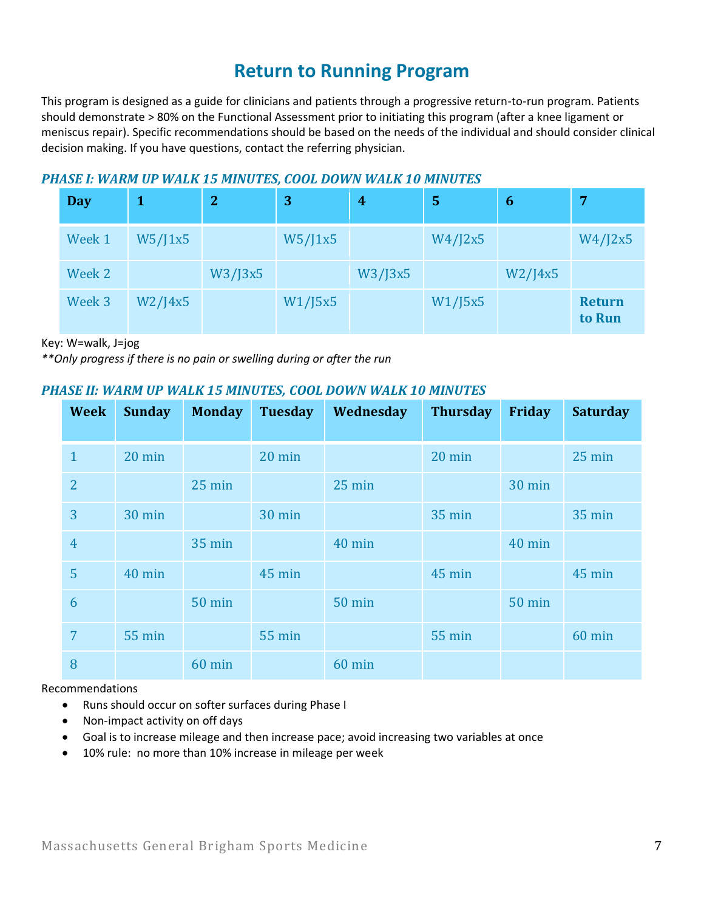## **Return to Running Program**

This program is designed as a guide for clinicians and patients through a progressive return-to-run program. Patients should demonstrate > 80% on the Functional Assessment prior to initiating this program (after a knee ligament or meniscus repair). Specific recommendations should be based on the needs of the individual and should consider clinical decision making. If you have questions, contact the referring physician.

### *PHASE I: WARM UP WALK 15 MINUTES, COOL DOWN WALK 10 MINUTES*

| <b>Day</b> |               | $\overline{2}$ | 3       | $\boldsymbol{4}$ | 5       | 6             | 7                       |
|------------|---------------|----------------|---------|------------------|---------|---------------|-------------------------|
| Week 1     | W5/J1x5       |                | W5/J1x5 |                  | W4/J2x5 |               | W4/J2x5                 |
| Week 2     |               | W3/J3x5        |         | W3/J3x5          |         | $W2$ /J $4x5$ |                         |
| Week 3     | $W2$ /J $4x5$ |                | W1/J5x5 |                  | W1/J5x5 |               | <b>Return</b><br>to Run |

Key: W=walk, J=jog

*\*\*Only progress if there is no pain or swelling during or after the run*

### *PHASE II: WARM UP WALK 15 MINUTES, COOL DOWN WALK 10 MINUTES*

| <b>Week</b>    | <b>Sunday</b> | <b>Monday</b> | <b>Tuesday</b> | Wednesday | <b>Thursday</b>  | Friday        | <b>Saturday</b>  |
|----------------|---------------|---------------|----------------|-----------|------------------|---------------|------------------|
| $\mathbf{1}$   | 20 min        |               | 20 min         |           | $20 \text{ min}$ |               | $25 \text{ min}$ |
| $\overline{2}$ |               | 25 min        |                | 25 min    |                  | 30 min        |                  |
| 3              | 30 min        |               | 30 min         |           | <b>35 min</b>    |               | <b>35 min</b>    |
| $\overline{4}$ |               | <b>35 min</b> |                | 40 min    |                  | 40 min        |                  |
| 5              | 40 min        |               | 45 min         |           | 45 min           |               | 45 min           |
| 6              |               | <b>50 min</b> |                | $50$ min  |                  | <b>50 min</b> |                  |
| $\overline{7}$ | <b>55 min</b> |               | <b>55 min</b>  |           | <b>55 min</b>    |               | 60 min           |
| 8              |               | 60 min        |                | 60 min    |                  |               |                  |

Recommendations

- Runs should occur on softer surfaces during Phase I
- Non-impact activity on off days
- Goal is to increase mileage and then increase pace; avoid increasing two variables at once
- 10% rule: no more than 10% increase in mileage per week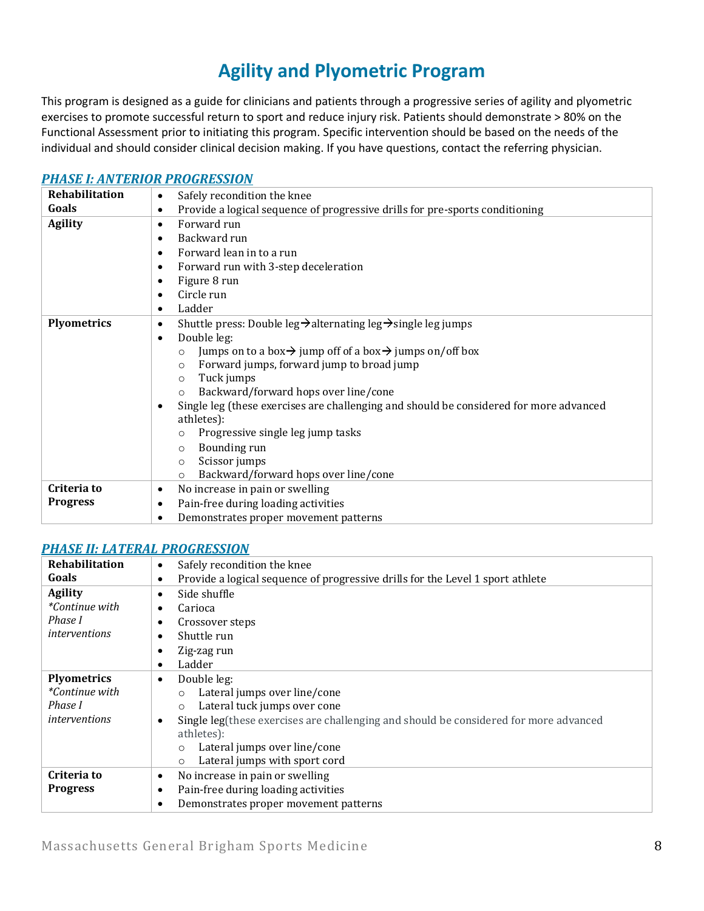# **Agility and Plyometric Program**

This program is designed as a guide for clinicians and patients through a progressive series of agility and plyometric exercises to promote successful return to sport and reduce injury risk. Patients should demonstrate > 80% on the Functional Assessment prior to initiating this program. Specific intervention should be based on the needs of the individual and should consider clinical decision making. If you have questions, contact the referring physician.

#### *[PHASE I: ANTERIOR PROGRESSION](https://www.youtube.com/watch?v=dFcVIcLOTb8&list=PLLj8wKd0c1Gw61RvQr1ptMtb1Z8HmL4tm)*

| Rehabilitation                 | Safely recondition the knee<br>٠                                                                                                                                                                                                                                                                                                                                                                                                                                                                                                                                                                                  |  |  |  |
|--------------------------------|-------------------------------------------------------------------------------------------------------------------------------------------------------------------------------------------------------------------------------------------------------------------------------------------------------------------------------------------------------------------------------------------------------------------------------------------------------------------------------------------------------------------------------------------------------------------------------------------------------------------|--|--|--|
| Goals                          | Provide a logical sequence of progressive drills for pre-sports conditioning<br>٠                                                                                                                                                                                                                                                                                                                                                                                                                                                                                                                                 |  |  |  |
| <b>Agility</b>                 | Forward run<br>$\bullet$<br>Backward run<br>Forward lean in to a run<br>Forward run with 3-step deceleration<br>Figure 8 run<br>Circle run<br>Ladder                                                                                                                                                                                                                                                                                                                                                                                                                                                              |  |  |  |
| <b>Plyometrics</b>             | Shuttle press: Double leg $\rightarrow$ alternating leg $\rightarrow$ single leg jumps<br>٠<br>Double leg:<br>Jumps on to a box $\rightarrow$ jump off of a box $\rightarrow$ jumps on/off box<br>$\Omega$<br>Forward jumps, forward jump to broad jump<br>$\circ$<br>Tuck jumps<br>$\circ$<br>Backward/forward hops over line/cone<br>$\circ$<br>Single leg (these exercises are challenging and should be considered for more advanced<br>athletes):<br>Progressive single leg jump tasks<br>$\circ$<br>Bounding run<br>$\circ$<br>Scissor jumps<br>$\circ$<br>Backward/forward hops over line/cone<br>$\Omega$ |  |  |  |
| Criteria to<br><b>Progress</b> | No increase in pain or swelling<br>٠<br>Pain-free during loading activities<br>$\bullet$<br>Demonstrates proper movement patterns                                                                                                                                                                                                                                                                                                                                                                                                                                                                                 |  |  |  |

#### *[PHASE II: LATERAL PROGRESSION](https://www.youtube.com/watch?v=TQfwZ_Mimxs&list=PLLj8wKd0c1Gy1Zo9wk5p6zPWPA6OOKPHP)*

| Rehabilitation        | Safely recondition the knee<br>$\bullet$                                                   |  |  |  |  |
|-----------------------|--------------------------------------------------------------------------------------------|--|--|--|--|
| Goals                 | Provide a logical sequence of progressive drills for the Level 1 sport athlete             |  |  |  |  |
| <b>Agility</b>        | Side shuffle                                                                               |  |  |  |  |
| <i>*Continue with</i> | Carioca                                                                                    |  |  |  |  |
| Phase I               | Crossover steps                                                                            |  |  |  |  |
| <i>interventions</i>  | Shuttle run                                                                                |  |  |  |  |
|                       | Zig-zag run                                                                                |  |  |  |  |
|                       | Ladder<br>$\bullet$                                                                        |  |  |  |  |
| <b>Plyometrics</b>    | Double leg:<br>$\bullet$                                                                   |  |  |  |  |
| *Continue with        | Lateral jumps over line/cone<br>$\circ$                                                    |  |  |  |  |
| Phase I               | Lateral tuck jumps over cone<br>$\circ$                                                    |  |  |  |  |
| interventions         | Single leg(these exercises are challenging and should be considered for more advanced<br>٠ |  |  |  |  |
|                       | athletes):                                                                                 |  |  |  |  |
|                       | Lateral jumps over line/cone<br>$\circ$                                                    |  |  |  |  |
|                       | Lateral jumps with sport cord<br>$\circ$                                                   |  |  |  |  |
| Criteria to           | No increase in pain or swelling<br>$\bullet$                                               |  |  |  |  |
| <b>Progress</b>       | Pain-free during loading activities<br>٠                                                   |  |  |  |  |
|                       | Demonstrates proper movement patterns<br>٠                                                 |  |  |  |  |